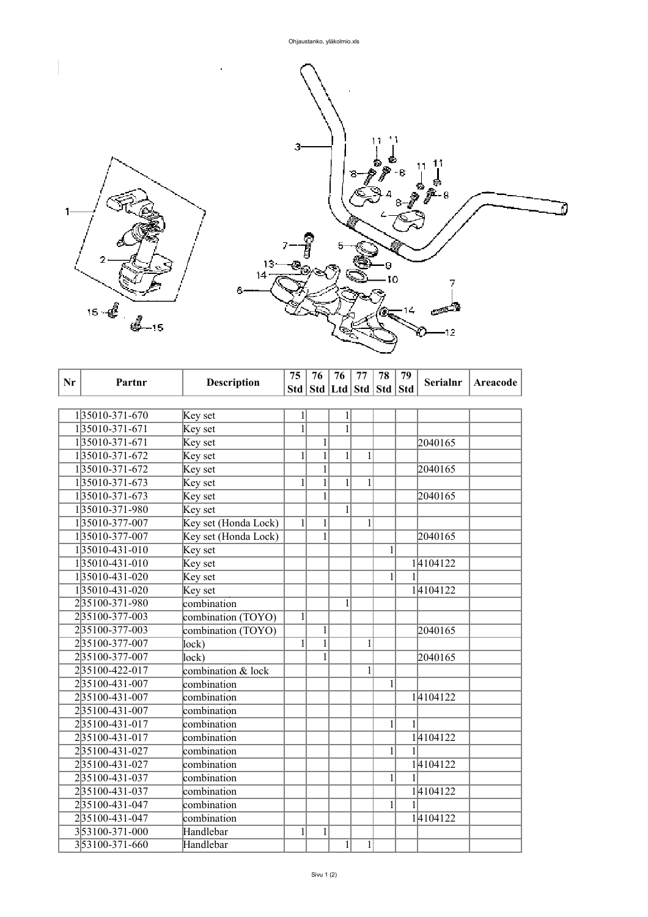

| Nr | Partnr         | <b>Description</b>   | 75           | 76             | 76                                | 77             | 78           | 79 | <b>Serialnr</b> | Areacode |
|----|----------------|----------------------|--------------|----------------|-----------------------------------|----------------|--------------|----|-----------------|----------|
|    |                |                      |              |                | Std   Std   Ltd   Std   Std   Std |                |              |    |                 |          |
|    |                |                      |              |                |                                   |                |              |    |                 |          |
|    | 135010-371-670 | Key set              | 1            |                | 1                                 |                |              |    |                 |          |
|    | 135010-371-671 | Key set              | $\mathbf{1}$ |                | $\mathbf{1}$                      |                |              |    |                 |          |
|    | 135010-371-671 | Key set              |              | $\mathbf{1}$   |                                   |                |              |    | 2040165         |          |
|    | 135010-371-672 | Key set              | 1            | $\overline{1}$ | $\overline{1}$                    | 1              |              |    |                 |          |
|    | 135010-371-672 | Key set              |              | $\mathbf{1}$   |                                   |                |              |    | 2040165         |          |
|    | 135010-371-673 | Key set              | 1            | $\mathbf{1}$   | $\mathbf{1}$                      | 1              |              |    |                 |          |
|    | 135010-371-673 | Key set              |              | 1              |                                   |                |              |    | 2040165         |          |
|    | 135010-371-980 | Key set              |              |                | $\overline{1}$                    |                |              |    |                 |          |
|    | 135010-377-007 | Key set (Honda Lock) | $1\vert$     | 1              |                                   | 1              |              |    |                 |          |
|    | 135010-377-007 | Key set (Honda Lock) |              | $\overline{1}$ |                                   |                |              |    | 2040165         |          |
|    | 135010-431-010 | Key set              |              |                |                                   |                | $\mathbf{1}$ |    |                 |          |
|    | 135010-431-010 | Key set              |              |                |                                   |                |              |    | 14104122        |          |
|    | 135010-431-020 | Key set              |              |                |                                   |                | 1            | 1  |                 |          |
|    | 135010-431-020 | Key set              |              |                |                                   |                |              |    | 14104122        |          |
|    | 235100-371-980 | combination          |              |                | $\mathbf{1}$                      |                |              |    |                 |          |
|    | 235100-377-003 | combination (TOYO)   | $\mathbf{1}$ |                |                                   |                |              |    |                 |          |
|    | 235100-377-003 | combination (TOYO)   |              | $\mathbf{1}$   |                                   |                |              |    | 2040165         |          |
|    | 235100-377-007 | lock)                | 1            | $\mathbf{1}$   |                                   | $\mathbf{1}$   |              |    |                 |          |
|    | 235100-377-007 | lock)                |              | 1              |                                   |                |              |    | 2040165         |          |
|    | 235100-422-017 | combination & lock   |              |                |                                   | $\overline{1}$ |              |    |                 |          |
|    | 235100-431-007 | combination          |              |                |                                   |                | 1            |    |                 |          |
|    | 235100-431-007 | combination          |              |                |                                   |                |              |    | 14104122        |          |
|    | 235100-431-007 | combination          |              |                |                                   |                |              |    |                 |          |
|    | 235100-431-017 | combination          |              |                |                                   |                | 1            | 1  |                 |          |
|    | 235100-431-017 | combination          |              |                |                                   |                |              |    | 14104122        |          |
|    | 235100-431-027 | combination          |              |                |                                   |                | 1            |    |                 |          |
|    | 235100-431-027 | combination          |              |                |                                   |                |              |    | 14104122        |          |
|    | 235100-431-037 | combination          |              |                |                                   |                | 1            |    |                 |          |
|    | 235100-431-037 | combination          |              |                |                                   |                |              |    | 14104122        |          |
|    | 235100-431-047 | combination          |              |                |                                   |                | 1            | 1  |                 |          |
|    | 235100-431-047 | combination          |              |                |                                   |                |              |    | 14104122        |          |
|    | 353100-371-000 | Handlebar            | $\mathbf{1}$ | $\mathbf{1}$   |                                   |                |              |    |                 |          |
|    | 353100-371-660 | Handlebar            |              |                | $\mathbf 1$                       | $\,1$          |              |    |                 |          |